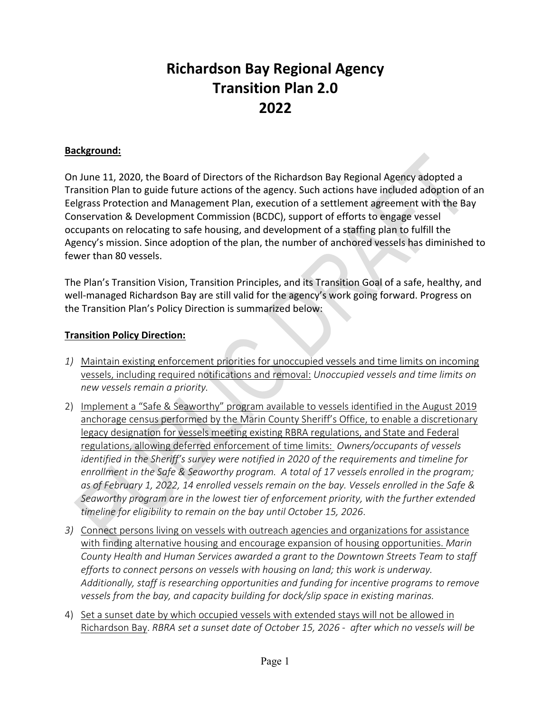# **Richardson Bay Regional Agency Transition Plan 2.0 2022**

#### **Background:**

On June 11, 2020, the Board of Directors of the Richardson Bay Regional Agency adopted a Transition Plan to guide future actions of the agency. Such actions have included adoption of an Eelgrass Protection and Management Plan, execution of a settlement agreement with the Bay Conservation & Development Commission (BCDC), support of efforts to engage vessel occupants on relocating to safe housing, and development of a staffing plan to fulfill the Agency's mission. Since adoption of the plan, the number of anchored vessels has diminished to fewer than 80 vessels.

The Plan's Transition Vision, Transition Principles, and its Transition Goal of a safe, healthy, and well-managed Richardson Bay are still valid for the agency's work going forward. Progress on the Transition Plan's Policy Direction is summarized below:

#### **Transition Policy Direction:**

- *1)* Maintain existing enforcement priorities for unoccupied vessels and time limits on incoming vessels, including required notifications and removal: *Unoccupied vessels and time limits on new vessels remain a priority.*
- 2) Implement a "Safe & Seaworthy" program available to vessels identified in the August 2019 anchorage census performed by the Marin County Sheriff's Office, to enable a discretionary legacy designation for vessels meeting existing RBRA regulations, and State and Federal regulations, allowing deferred enforcement of time limits: *Owners/occupants of vessels identified in the Sheriff's survey were notified in 2020 of the requirements and timeline for enrollment in the Safe & Seaworthy program. A total of 17 vessels enrolled in the program; as of February 1, 2022, 14 enrolled vessels remain on the bay. Vessels enrolled in the Safe & Seaworthy program are in the lowest tier of enforcement priority, with the further extended timeline for eligibility to remain on the bay until October 15, 2026*.
- *3)* Connect persons living on vessels with outreach agencies and organizations for assistance with finding alternative housing and encourage expansion of housing opportunities. *Marin County Health and Human Services awarded a grant to the Downtown Streets Team to staff efforts to connect persons on vessels with housing on land; this work is underway. Additionally, staff is researching opportunities and funding for incentive programs to remove vessels from the bay, and capacity building for dock/slip space in existing marinas.*
- 4) Set a sunset date by which occupied vessels with extended stays will not be allowed in Richardson Bay. *RBRA set a sunset date of October 15, 2026 - after which no vessels will be*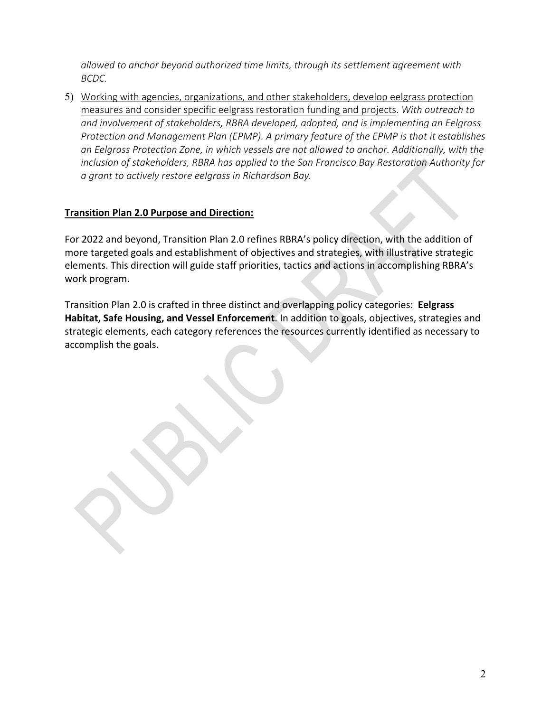*allowed to anchor beyond authorized time limits, through its settlement agreement with BCDC.*

5) Working with agencies, organizations, and other stakeholders, develop eelgrass protection measures and consider specific eelgrass restoration funding and projects. *With outreach to and involvement of stakeholders, RBRA developed, adopted, and is implementing an Eelgrass Protection and Management Plan (EPMP). A primary feature of the EPMP is that it establishes an Eelgrass Protection Zone, in which vessels are not allowed to anchor. Additionally, with the inclusion of stakeholders, RBRA has applied to the San Francisco Bay Restoration Authority for a grant to actively restore eelgrass in Richardson Bay.*

#### **Transition Plan 2.0 Purpose and Direction:**

For 2022 and beyond, Transition Plan 2.0 refines RBRA's policy direction, with the addition of more targeted goals and establishment of objectives and strategies, with illustrative strategic elements. This direction will guide staff priorities, tactics and actions in accomplishing RBRA's work program.

Transition Plan 2.0 is crafted in three distinct and overlapping policy categories: **Eelgrass Habitat, Safe Housing, and Vessel Enforcement**. In addition to goals, objectives, strategies and strategic elements, each category references the resources currently identified as necessary to accomplish the goals.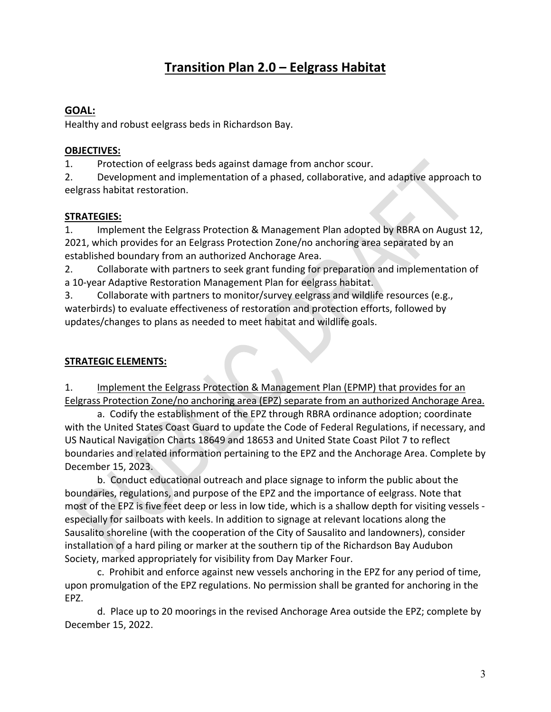## **Transition Plan 2.0 – Eelgrass Habitat**

### **GOAL:**

Healthy and robust eelgrass beds in Richardson Bay.

#### **OBJECTIVES:**

1. Protection of eelgrass beds against damage from anchor scour.

2. Development and implementation of a phased, collaborative, and adaptive approach to eelgrass habitat restoration.

#### **STRATEGIES:**

1. Implement the Eelgrass Protection & Management Plan adopted by RBRA on August 12, 2021, which provides for an Eelgrass Protection Zone/no anchoring area separated by an established boundary from an authorized Anchorage Area.

2. Collaborate with partners to seek grant funding for preparation and implementation of a 10-year Adaptive Restoration Management Plan for eelgrass habitat.

3. Collaborate with partners to monitor/survey eelgrass and wildlife resources (e.g., waterbirds) to evaluate effectiveness of restoration and protection efforts, followed by updates/changes to plans as needed to meet habitat and wildlife goals.

#### **STRATEGIC ELEMENTS:**

1. Implement the Eelgrass Protection & Management Plan (EPMP) that provides for an Eelgrass Protection Zone/no anchoring area (EPZ) separate from an authorized Anchorage Area.

a. Codify the establishment of the EPZ through RBRA ordinance adoption; coordinate with the United States Coast Guard to update the Code of Federal Regulations, if necessary, and US Nautical Navigation Charts 18649 and 18653 and United State Coast Pilot 7 to reflect boundaries and related information pertaining to the EPZ and the Anchorage Area. Complete by December 15, 2023.

b. Conduct educational outreach and place signage to inform the public about the boundaries, regulations, and purpose of the EPZ and the importance of eelgrass. Note that most of the EPZ is five feet deep or less in low tide, which is a shallow depth for visiting vessels especially for sailboats with keels. In addition to signage at relevant locations along the Sausalito shoreline (with the cooperation of the City of Sausalito and landowners), consider installation of a hard piling or marker at the southern tip of the Richardson Bay Audubon Society, marked appropriately for visibility from Day Marker Four.

c. Prohibit and enforce against new vessels anchoring in the EPZ for any period of time, upon promulgation of the EPZ regulations. No permission shall be granted for anchoring in the EPZ.

d. Place up to 20 moorings in the revised Anchorage Area outside the EPZ; complete by December 15, 2022.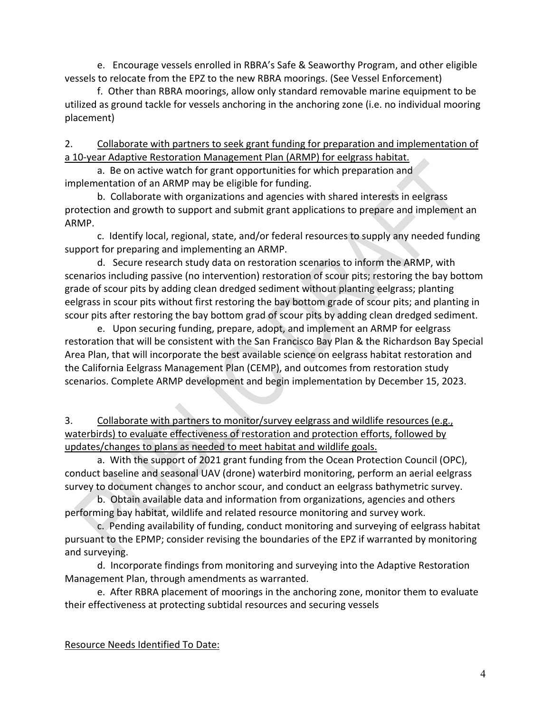e. Encourage vessels enrolled in RBRA's Safe & Seaworthy Program, and other eligible vessels to relocate from the EPZ to the new RBRA moorings. (See Vessel Enforcement)

f. Other than RBRA moorings, allow only standard removable marine equipment to be utilized as ground tackle for vessels anchoring in the anchoring zone (i.e. no individual mooring placement)

2. Collaborate with partners to seek grant funding for preparation and implementation of a 10-year Adaptive Restoration Management Plan (ARMP) for eelgrass habitat.

a. Be on active watch for grant opportunities for which preparation and implementation of an ARMP may be eligible for funding.

b. Collaborate with organizations and agencies with shared interests in eelgrass protection and growth to support and submit grant applications to prepare and implement an ARMP.

c. Identify local, regional, state, and/or federal resources to supply any needed funding support for preparing and implementing an ARMP.

d. Secure research study data on restoration scenarios to inform the ARMP, with scenarios including passive (no intervention) restoration of scour pits; restoring the bay bottom grade of scour pits by adding clean dredged sediment without planting eelgrass; planting eelgrass in scour pits without first restoring the bay bottom grade of scour pits; and planting in scour pits after restoring the bay bottom grad of scour pits by adding clean dredged sediment.

e. Upon securing funding, prepare, adopt, and implement an ARMP for eelgrass restoration that will be consistent with the San Francisco Bay Plan & the Richardson Bay Special Area Plan, that will incorporate the best available science on eelgrass habitat restoration and the California Eelgrass Management Plan (CEMP), and outcomes from restoration study scenarios. Complete ARMP development and begin implementation by December 15, 2023.

3. Collaborate with partners to monitor/survey eelgrass and wildlife resources (e.g., waterbirds) to evaluate effectiveness of restoration and protection efforts, followed by updates/changes to plans as needed to meet habitat and wildlife goals.

a. With the support of 2021 grant funding from the Ocean Protection Council (OPC), conduct baseline and seasonal UAV (drone) waterbird monitoring, perform an aerial eelgrass survey to document changes to anchor scour, and conduct an eelgrass bathymetric survey.

b. Obtain available data and information from organizations, agencies and others performing bay habitat, wildlife and related resource monitoring and survey work.

c. Pending availability of funding, conduct monitoring and surveying of eelgrass habitat pursuant to the EPMP; consider revising the boundaries of the EPZ if warranted by monitoring and surveying.

d. Incorporate findings from monitoring and surveying into the Adaptive Restoration Management Plan, through amendments as warranted.

e. After RBRA placement of moorings in the anchoring zone, monitor them to evaluate their effectiveness at protecting subtidal resources and securing vessels

Resource Needs Identified To Date: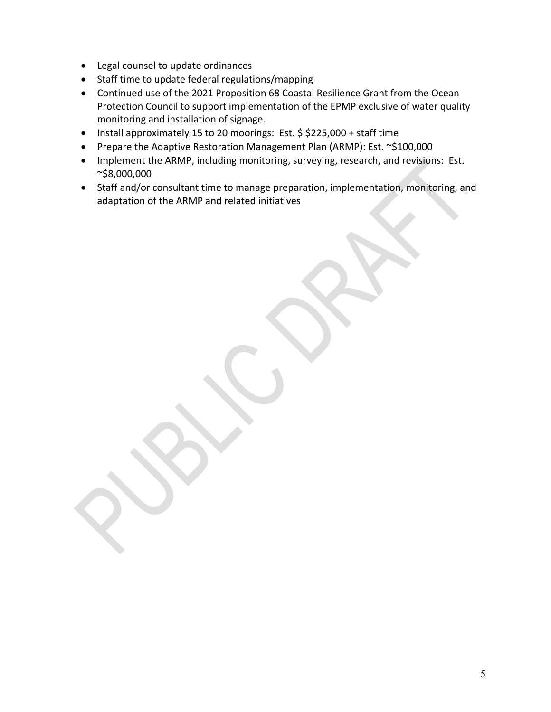- Legal counsel to update ordinances
- Staff time to update federal regulations/mapping
- Continued use of the 2021 Proposition 68 Coastal Resilience Grant from the Ocean Protection Council to support implementation of the EPMP exclusive of water quality monitoring and installation of signage.
- Install approximately 15 to 20 moorings: Est. \$ \$225,000 + staff time
- Prepare the Adaptive Restoration Management Plan (ARMP): Est. ~\$100,000
- Implement the ARMP, including monitoring, surveying, research, and revisions: Est. ~\$8,000,000
- Staff and/or consultant time to manage preparation, implementation, monitoring, and adaptation of the ARMP and related initiatives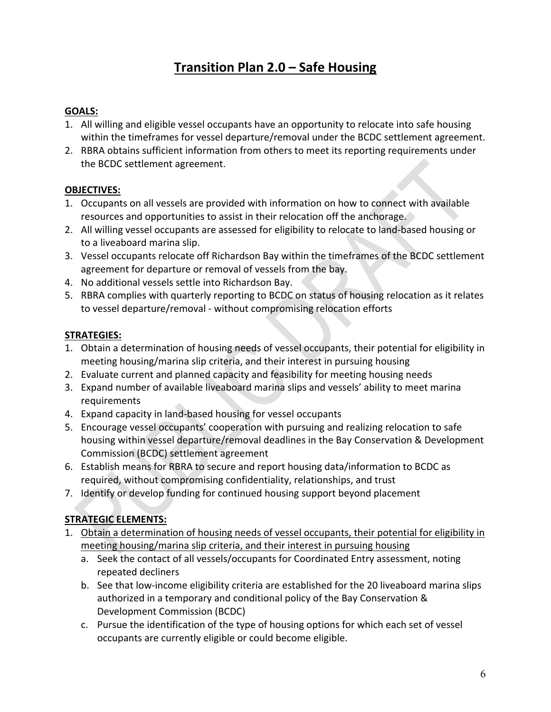## **Transition Plan 2.0 – Safe Housing**

#### **GOALS:**

- 1. All willing and eligible vessel occupants have an opportunity to relocate into safe housing within the timeframes for vessel departure/removal under the BCDC settlement agreement.
- 2. RBRA obtains sufficient information from others to meet its reporting requirements under the BCDC settlement agreement.

#### **OBJECTIVES:**

- 1. Occupants on all vessels are provided with information on how to connect with available resources and opportunities to assist in their relocation off the anchorage.
- 2. All willing vessel occupants are assessed for eligibility to relocate to land-based housing or to a liveaboard marina slip.
- 3. Vessel occupants relocate off Richardson Bay within the timeframes of the BCDC settlement agreement for departure or removal of vessels from the bay.
- 4. No additional vessels settle into Richardson Bay.
- 5. RBRA complies with quarterly reporting to BCDC on status of housing relocation as it relates to vessel departure/removal - without compromising relocation efforts

#### **STRATEGIES:**

- 1. Obtain a determination of housing needs of vessel occupants, their potential for eligibility in meeting housing/marina slip criteria, and their interest in pursuing housing
- 2. Evaluate current and planned capacity and feasibility for meeting housing needs
- 3. Expand number of available liveaboard marina slips and vessels' ability to meet marina requirements
- 4. Expand capacity in land-based housing for vessel occupants
- 5. Encourage vessel occupants' cooperation with pursuing and realizing relocation to safe housing within vessel departure/removal deadlines in the Bay Conservation & Development Commission (BCDC) settlement agreement
- 6. Establish means for RBRA to secure and report housing data/information to BCDC as required, without compromising confidentiality, relationships, and trust
- 7. Identify or develop funding for continued housing support beyond placement

#### **STRATEGIC ELEMENTS:**

- 1. Obtain a determination of housing needs of vessel occupants, their potential for eligibility in meeting housing/marina slip criteria, and their interest in pursuing housing
	- a. Seek the contact of all vessels/occupants for Coordinated Entry assessment, noting repeated decliners
	- b. See that low-income eligibility criteria are established for the 20 liveaboard marina slips authorized in a temporary and conditional policy of the Bay Conservation & Development Commission (BCDC)
	- c. Pursue the identification of the type of housing options for which each set of vessel occupants are currently eligible or could become eligible.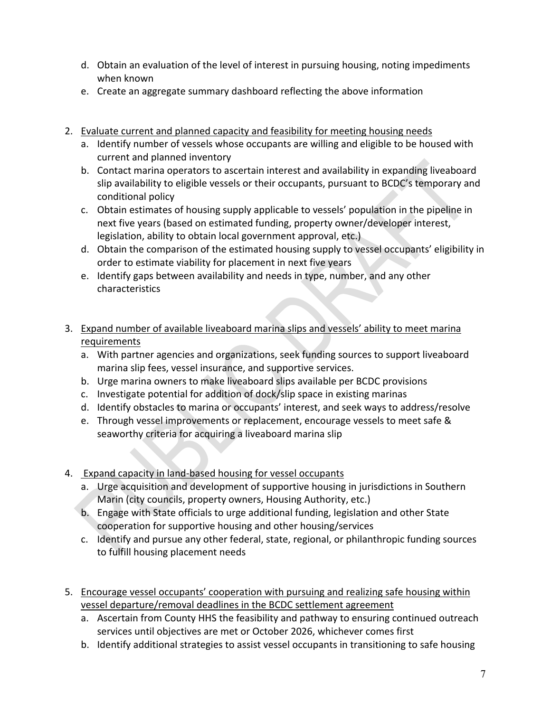- d. Obtain an evaluation of the level of interest in pursuing housing, noting impediments when known
- e. Create an aggregate summary dashboard reflecting the above information
- 2. Evaluate current and planned capacity and feasibility for meeting housing needs
	- a. Identify number of vessels whose occupants are willing and eligible to be housed with current and planned inventory
	- b. Contact marina operators to ascertain interest and availability in expanding liveaboard slip availability to eligible vessels or their occupants, pursuant to BCDC's temporary and conditional policy
	- c. Obtain estimates of housing supply applicable to vessels' population in the pipeline in next five years (based on estimated funding, property owner/developer interest, legislation, ability to obtain local government approval, etc.)
	- d. Obtain the comparison of the estimated housing supply to vessel occupants' eligibility in order to estimate viability for placement in next five years
	- e. Identify gaps between availability and needs in type, number, and any other characteristics
- 3. Expand number of available liveaboard marina slips and vessels' ability to meet marina requirements
	- a. With partner agencies and organizations, seek funding sources to support liveaboard marina slip fees, vessel insurance, and supportive services.
	- b. Urge marina owners to make liveaboard slips available per BCDC provisions
	- c. Investigate potential for addition of dock/slip space in existing marinas
	- d. Identify obstacles to marina or occupants' interest, and seek ways to address/resolve
	- e. Through vessel improvements or replacement, encourage vessels to meet safe & seaworthy criteria for acquiring a liveaboard marina slip
- 4. Expand capacity in land-based housing for vessel occupants
	- a. Urge acquisition and development of supportive housing in jurisdictions in Southern Marin (city councils, property owners, Housing Authority, etc.)
	- b. Engage with State officials to urge additional funding, legislation and other State cooperation for supportive housing and other housing/services
	- c. Identify and pursue any other federal, state, regional, or philanthropic funding sources to fulfill housing placement needs
- 5. Encourage vessel occupants' cooperation with pursuing and realizing safe housing within vessel departure/removal deadlines in the BCDC settlement agreement
	- a. Ascertain from County HHS the feasibility and pathway to ensuring continued outreach services until objectives are met or October 2026, whichever comes first
	- b. Identify additional strategies to assist vessel occupants in transitioning to safe housing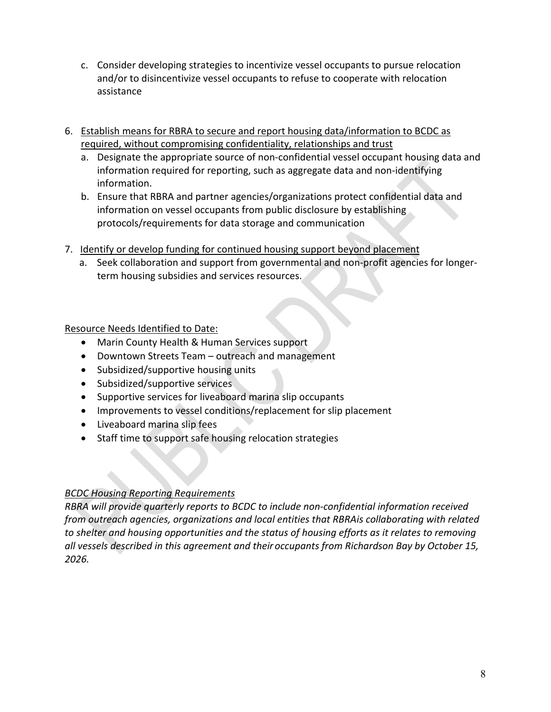- c. Consider developing strategies to incentivize vessel occupants to pursue relocation and/or to disincentivize vessel occupants to refuse to cooperate with relocation assistance
- 6. Establish means for RBRA to secure and report housing data/information to BCDC as required, without compromising confidentiality, relationships and trust
	- a. Designate the appropriate source of non-confidential vessel occupant housing data and information required for reporting, such as aggregate data and non-identifying information.
	- b. Ensure that RBRA and partner agencies/organizations protect confidential data and information on vessel occupants from public disclosure by establishing protocols/requirements for data storage and communication
- 7. Identify or develop funding for continued housing support beyond placement
	- a. Seek collaboration and support from governmental and non-profit agencies for longerterm housing subsidies and services resources.

## Resource Needs Identified to Date:

- Marin County Health & Human Services support
- Downtown Streets Team outreach and management
- Subsidized/supportive housing units
- Subsidized/supportive services
- Supportive services for liveaboard marina slip occupants
- Improvements to vessel conditions/replacement for slip placement
- Liveaboard marina slip fees
- Staff time to support safe housing relocation strategies

#### *BCDC Housing Reporting Requirements*

*RBRA will provide quarterly reports to BCDC to include non-confidential information received from outreach agencies, organizations and local entities that RBRAis collaborating with related to shelter and housing opportunities and the status of housing efforts as it relates to removing all vessels described in this agreement and their occupants from Richardson Bay by October 15, 2026.*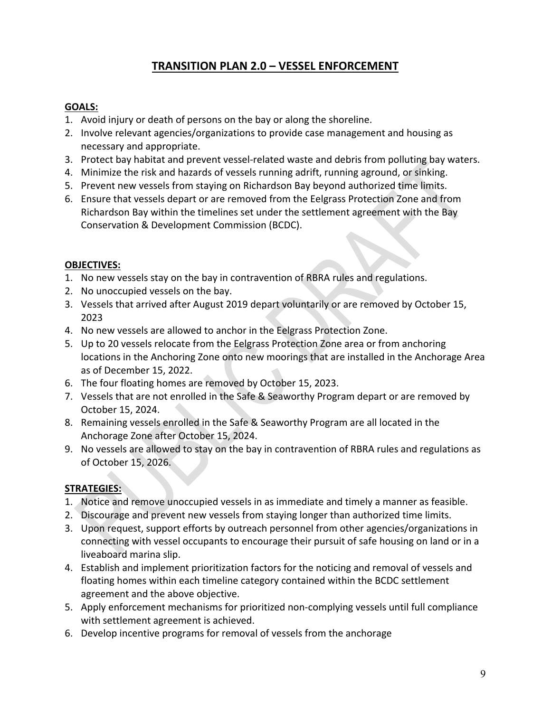## **TRANSITION PLAN 2.0 – VESSEL ENFORCEMENT**

#### **GOALS:**

- 1. Avoid injury or death of persons on the bay or along the shoreline.
- 2. Involve relevant agencies/organizations to provide case management and housing as necessary and appropriate.
- 3. Protect bay habitat and prevent vessel-related waste and debris from polluting bay waters.
- 4. Minimize the risk and hazards of vessels running adrift, running aground, or sinking.
- 5. Prevent new vessels from staying on Richardson Bay beyond authorized time limits.
- 6. Ensure that vessels depart or are removed from the Eelgrass Protection Zone and from Richardson Bay within the timelines set under the settlement agreement with the Bay Conservation & Development Commission (BCDC).

#### **OBJECTIVES:**

- 1. No new vessels stay on the bay in contravention of RBRA rules and regulations.
- 2. No unoccupied vessels on the bay.
- 3. Vessels that arrived after August 2019 depart voluntarily or are removed by October 15, 2023
- 4. No new vessels are allowed to anchor in the Eelgrass Protection Zone.
- 5. Up to 20 vessels relocate from the Eelgrass Protection Zone area or from anchoring locations in the Anchoring Zone onto new moorings that are installed in the Anchorage Area as of December 15, 2022.
- 6. The four floating homes are removed by October 15, 2023.
- 7. Vessels that are not enrolled in the Safe & Seaworthy Program depart or are removed by October 15, 2024.
- 8. Remaining vessels enrolled in the Safe & Seaworthy Program are all located in the Anchorage Zone after October 15, 2024.
- 9. No vessels are allowed to stay on the bay in contravention of RBRA rules and regulations as of October 15, 2026.

#### **STRATEGIES:**

- 1. Notice and remove unoccupied vessels in as immediate and timely a manner as feasible.
- 2. Discourage and prevent new vessels from staying longer than authorized time limits.
- 3. Upon request, support efforts by outreach personnel from other agencies/organizations in connecting with vessel occupants to encourage their pursuit of safe housing on land or in a liveaboard marina slip.
- 4. Establish and implement prioritization factors for the noticing and removal of vessels and floating homes within each timeline category contained within the BCDC settlement agreement and the above objective.
- 5. Apply enforcement mechanisms for prioritized non-complying vessels until full compliance with settlement agreement is achieved.
- 6. Develop incentive programs for removal of vessels from the anchorage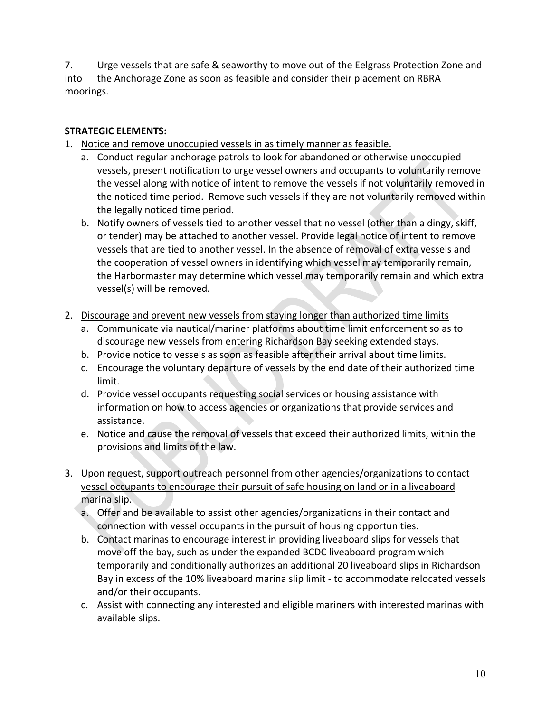7. Urge vessels that are safe & seaworthy to move out of the Eelgrass Protection Zone and into the Anchorage Zone as soon as feasible and consider their placement on RBRA moorings.

#### **STRATEGIC ELEMENTS:**

- 1. Notice and remove unoccupied vessels in as timely manner as feasible.
	- a. Conduct regular anchorage patrols to look for abandoned or otherwise unoccupied vessels, present notification to urge vessel owners and occupants to voluntarily remove the vessel along with notice of intent to remove the vessels if not voluntarily removed in the noticed time period. Remove such vessels if they are not voluntarily removed within the legally noticed time period.
	- b. Notify owners of vessels tied to another vessel that no vessel (other than a dingy, skiff, or tender) may be attached to another vessel. Provide legal notice of intent to remove vessels that are tied to another vessel. In the absence of removal of extra vessels and the cooperation of vessel owners in identifying which vessel may temporarily remain, the Harbormaster may determine which vessel may temporarily remain and which extra vessel(s) will be removed.
- 2. Discourage and prevent new vessels from staying longer than authorized time limits
	- a. Communicate via nautical/mariner platforms about time limit enforcement so as to discourage new vessels from entering Richardson Bay seeking extended stays.
	- b. Provide notice to vessels as soon as feasible after their arrival about time limits.
	- c. Encourage the voluntary departure of vessels by the end date of their authorized time limit.
	- d. Provide vessel occupants requesting social services or housing assistance with information on how to access agencies or organizations that provide services and assistance.
	- e. Notice and cause the removal of vessels that exceed their authorized limits, within the provisions and limits of the law.
- 3. Upon request, support outreach personnel from other agencies/organizations to contact vessel occupants to encourage their pursuit of safe housing on land or in a liveaboard marina slip.
	- a. Offer and be available to assist other agencies/organizations in their contact and connection with vessel occupants in the pursuit of housing opportunities.
	- b. Contact marinas to encourage interest in providing liveaboard slips for vessels that move off the bay, such as under the expanded BCDC liveaboard program which temporarily and conditionally authorizes an additional 20 liveaboard slips in Richardson Bay in excess of the 10% liveaboard marina slip limit - to accommodate relocated vessels and/or their occupants.
	- c. Assist with connecting any interested and eligible mariners with interested marinas with available slips.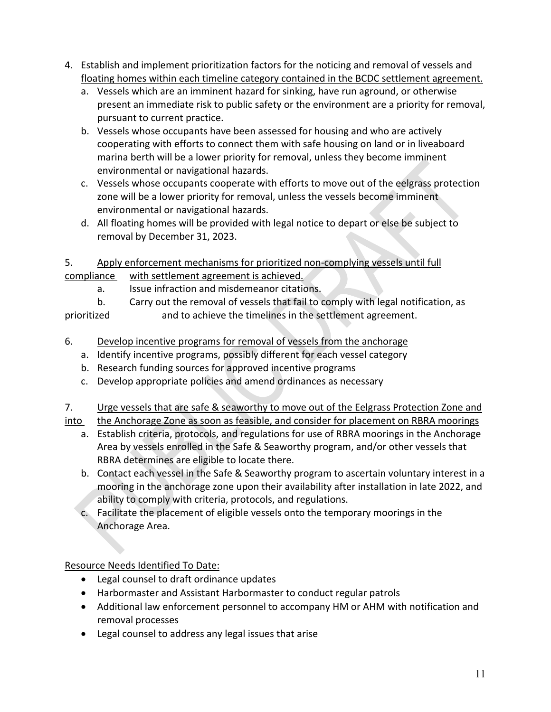- 4. Establish and implement prioritization factors for the noticing and removal of vessels and floating homes within each timeline category contained in the BCDC settlement agreement.
	- a. Vessels which are an imminent hazard for sinking, have run aground, or otherwise present an immediate risk to public safety or the environment are a priority for removal, pursuant to current practice.
	- b. Vessels whose occupants have been assessed for housing and who are actively cooperating with efforts to connect them with safe housing on land or in liveaboard marina berth will be a lower priority for removal, unless they become imminent environmental or navigational hazards.
	- c. Vessels whose occupants cooperate with efforts to move out of the eelgrass protection zone will be a lower priority for removal, unless the vessels become imminent environmental or navigational hazards.
	- d. All floating homes will be provided with legal notice to depart or else be subject to removal by December 31, 2023.

### 5. Apply enforcement mechanisms for prioritized non-complying vessels until full compliance with settlement agreement is achieved.

a. Issue infraction and misdemeanor citations.

b. Carry out the removal of vessels that fail to comply with legal notification, as prioritized and to achieve the timelines in the settlement agreement.

- 6. Develop incentive programs for removal of vessels from the anchorage
	- a. Identify incentive programs, possibly different for each vessel category
	- b. Research funding sources for approved incentive programs
	- c. Develop appropriate policies and amend ordinances as necessary

## 7. Urge vessels that are safe & seaworthy to move out of the Eelgrass Protection Zone and

into the Anchorage Zone as soon as feasible, and consider for placement on RBRA moorings

- a. Establish criteria, protocols, and regulations for use of RBRA moorings in the Anchorage Area by vessels enrolled in the Safe & Seaworthy program, and/or other vessels that RBRA determines are eligible to locate there.
- b. Contact each vessel in the Safe & Seaworthy program to ascertain voluntary interest in a mooring in the anchorage zone upon their availability after installation in late 2022, and ability to comply with criteria, protocols, and regulations.
- c. Facilitate the placement of eligible vessels onto the temporary moorings in the Anchorage Area.

Resource Needs Identified To Date:

- Legal counsel to draft ordinance updates
- Harbormaster and Assistant Harbormaster to conduct regular patrols
- Additional law enforcement personnel to accompany HM or AHM with notification and removal processes
- Legal counsel to address any legal issues that arise